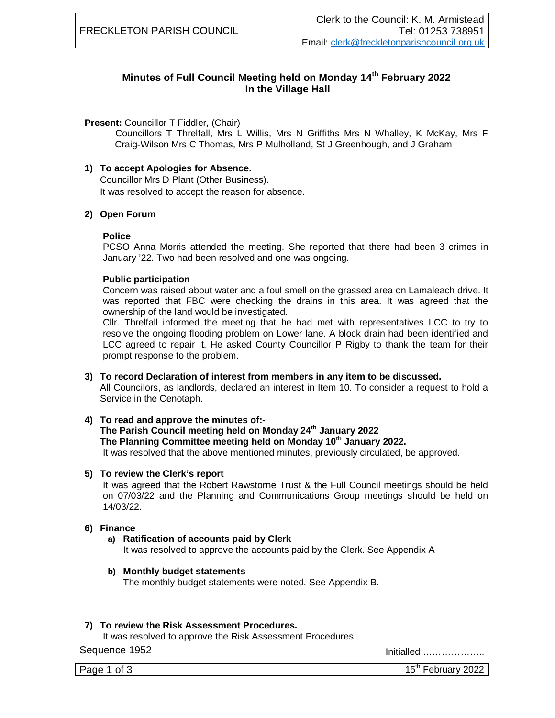## **Minutes of Full Council Meeting held on Monday 14th February 2022 In the Village Hall**

#### **Present:** Councillor T Fiddler, (Chair)

Councillors T Threlfall, Mrs L Willis, Mrs N Griffiths Mrs N Whalley, K McKay, Mrs F Craig-Wilson Mrs C Thomas, Mrs P Mulholland, St J Greenhough, and J Graham

#### **1) To accept Apologies for Absence.**

Councillor Mrs D Plant (Other Business). It was resolved to accept the reason for absence.

### **2) Open Forum**

#### **Police**

PCSO Anna Morris attended the meeting. She reported that there had been 3 crimes in January '22. Two had been resolved and one was ongoing.

#### **Public participation**

Concern was raised about water and a foul smell on the grassed area on Lamaleach drive. It was reported that FBC were checking the drains in this area. It was agreed that the ownership of the land would be investigated.

Cllr. Threlfall informed the meeting that he had met with representatives LCC to try to resolve the ongoing flooding problem on Lower lane. A block drain had been identified and LCC agreed to repair it. He asked County Councillor P Rigby to thank the team for their prompt response to the problem.

#### **3) To record Declaration of interest from members in any item to be discussed.**

All Councilors, as landlords, declared an interest in Item 10. To consider a request to hold a Service in the Cenotaph.

#### **4) To read and approve the minutes of:-**

## **The Parish Council meeting held on Monday 24th January 2022**

**The Planning Committee meeting held on Monday 10th January 2022.**

It was resolved that the above mentioned minutes, previously circulated, be approved.

#### **5) To review the Clerk's report**

It was agreed that the Robert Rawstorne Trust & the Full Council meetings should be held on 07/03/22 and the Planning and Communications Group meetings should be held on 14/03/22.

#### **6) Finance**

#### **a) Ratification of accounts paid by Clerk**

It was resolved to approve the accounts paid by the Clerk. See Appendix A

#### **b) Monthly budget statements**

The monthly budget statements were noted. See Appendix B.

#### **7) To review the Risk Assessment Procedures.**

It was resolved to approve the Risk Assessment Procedures.

Sequence 1952 Initialled ………………..

Page 1 of 3 15th February 2022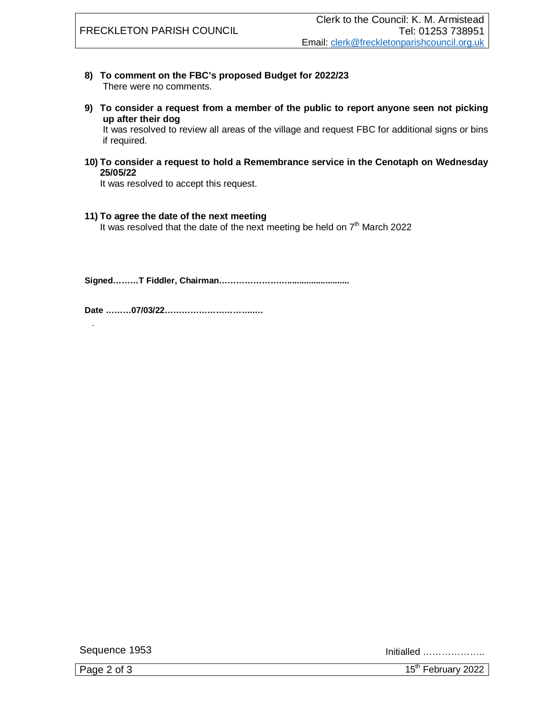- **8) To comment on the FBC's proposed Budget for 2022/23** There were no comments.
- **9) To consider a request from a member of the public to report anyone seen not picking up after their dog**

It was resolved to review all areas of the village and request FBC for additional signs or bins if required.

**10) To consider a request to hold a Remembrance service in the Cenotaph on Wednesday 25/05/22**

It was resolved to accept this request.

**11) To agree the date of the next meeting**

It was resolved that the date of the next meeting be held on  $7<sup>th</sup>$  March 2022

**Signed………T Fiddler, Chairman……………………..........................**

**Date ………07/03/22…………………………..…**

Sequence 1953 Initialled ………………..

.

Page 2 of 3  $15<sup>th</sup>$  February 2022